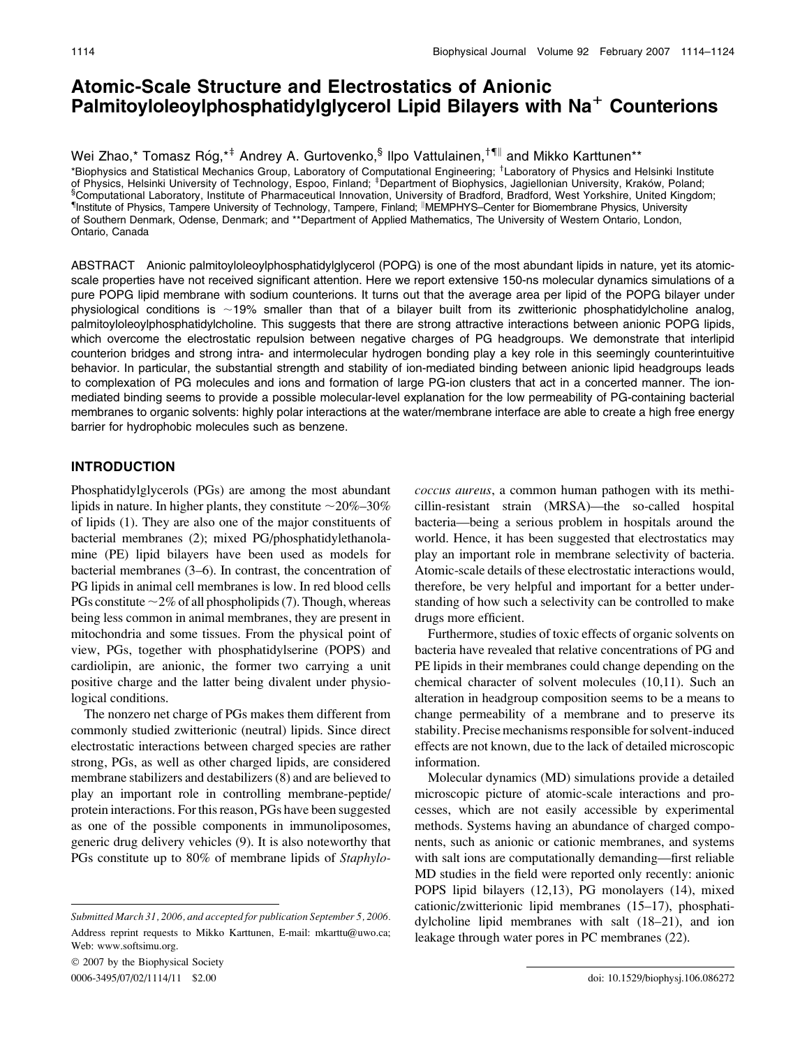# Atomic-Scale Structure and Electrostatics of Anionic Palmitoyloleoylphosphatidylglycerol Lipid Bilayers with  $Na<sup>+</sup>$  Counterions

Wei Zhao,\* Tomasz Róg, \*\* Andrey A. Gurtovenko,  $\frac{1}{2}$  Ilpo Vattulainen,  $\frac{1}{2}$  and Mikko Karttunen\*\* \*Biophysics and Statistical Mechanics Group, Laboratory of Computational Engineering; <sup>†</sup>Laboratory of Physics and Helsinki Institute of Physics, Helsinki University of Technology, Espoo, Finland; <sup>‡</sup>Department of Biophysics, Jagiellonian University, Kraków, Poland; §Computational Laboratory, Institute of Pharmaceutical Innovation, University of Bradford, Bradford, West Yorkshire, United Kingdom;<br>Tipstitute of Physics, Tampere University of Technology, Tampere, Finland, IMEMPHYS, Cent Institute of Physics, Tampere University of Technology, Tampere, Finland; <sup>II</sup>MEMPHYS–Center for Biomembrane Physics, University of Southern Denmark, Odense, Denmark; and \*\*Department of Applied Mathematics, The University of Western Ontario, London, Ontario, Canada

ABSTRACT Anionic palmitoyloleoylphosphatidylglycerol (POPG) is one of the most abundant lipids in nature, yet its atomicscale properties have not received significant attention. Here we report extensive 150-ns molecular dynamics simulations of a pure POPG lipid membrane with sodium counterions. It turns out that the average area per lipid of the POPG bilayer under physiological conditions is  $\sim$ 19% smaller than that of a bilayer built from its zwitterionic phosphatidylcholine analog, palmitoyloleoylphosphatidylcholine. This suggests that there are strong attractive interactions between anionic POPG lipids, which overcome the electrostatic repulsion between negative charges of PG headgroups. We demonstrate that interlipid counterion bridges and strong intra- and intermolecular hydrogen bonding play a key role in this seemingly counterintuitive behavior. In particular, the substantial strength and stability of ion-mediated binding between anionic lipid headgroups leads to complexation of PG molecules and ions and formation of large PG-ion clusters that act in a concerted manner. The ionmediated binding seems to provide a possible molecular-level explanation for the low permeability of PG-containing bacterial membranes to organic solvents: highly polar interactions at the water/membrane interface are able to create a high free energy barrier for hydrophobic molecules such as benzene.

# INTRODUCTION

Phosphatidylglycerols (PGs) are among the most abundant lipids in nature. In higher plants, they constitute  $\sim 20\% - 30\%$ of lipids (1). They are also one of the major constituents of bacterial membranes (2); mixed PG/phosphatidylethanolamine (PE) lipid bilayers have been used as models for bacterial membranes (3–6). In contrast, the concentration of PG lipids in animal cell membranes is low. In red blood cells PGs constitute  $\sim$  2% of all phospholipids (7). Though, whereas being less common in animal membranes, they are present in mitochondria and some tissues. From the physical point of view, PGs, together with phosphatidylserine (POPS) and cardiolipin, are anionic, the former two carrying a unit positive charge and the latter being divalent under physiological conditions.

The nonzero net charge of PGs makes them different from commonly studied zwitterionic (neutral) lipids. Since direct electrostatic interactions between charged species are rather strong, PGs, as well as other charged lipids, are considered membrane stabilizers and destabilizers (8) and are believed to play an important role in controlling membrane-peptide/ protein interactions. For this reason, PGs have been suggested as one of the possible components in immunoliposomes, generic drug delivery vehicles (9). It is also noteworthy that PGs constitute up to 80% of membrane lipids of Staphylo-

Submitted March 31, 2006, and accepted for publication September 5, 2006. Address reprint requests to Mikko Karttunen, E-mail: mkarttu@uwo.ca; Web: www.softsimu.org.

 $© 2007$  by the Biophysical Society

0006-3495/07/02/1114/11 \$2.00 doi: 10.1529/biophysj.106.086272

coccus aureus, a common human pathogen with its methicillin-resistant strain (MRSA)—the so-called hospital bacteria—being a serious problem in hospitals around the world. Hence, it has been suggested that electrostatics may play an important role in membrane selectivity of bacteria. Atomic-scale details of these electrostatic interactions would, therefore, be very helpful and important for a better understanding of how such a selectivity can be controlled to make drugs more efficient.

Furthermore, studies of toxic effects of organic solvents on bacteria have revealed that relative concentrations of PG and PE lipids in their membranes could change depending on the chemical character of solvent molecules (10,11). Such an alteration in headgroup composition seems to be a means to change permeability of a membrane and to preserve its stability. Precise mechanisms responsible for solvent-induced effects are not known, due to the lack of detailed microscopic information.

Molecular dynamics (MD) simulations provide a detailed microscopic picture of atomic-scale interactions and processes, which are not easily accessible by experimental methods. Systems having an abundance of charged components, such as anionic or cationic membranes, and systems with salt ions are computationally demanding—first reliable MD studies in the field were reported only recently: anionic POPS lipid bilayers (12,13), PG monolayers (14), mixed cationic/zwitterionic lipid membranes (15–17), phosphatidylcholine lipid membranes with salt (18–21), and ion leakage through water pores in PC membranes (22).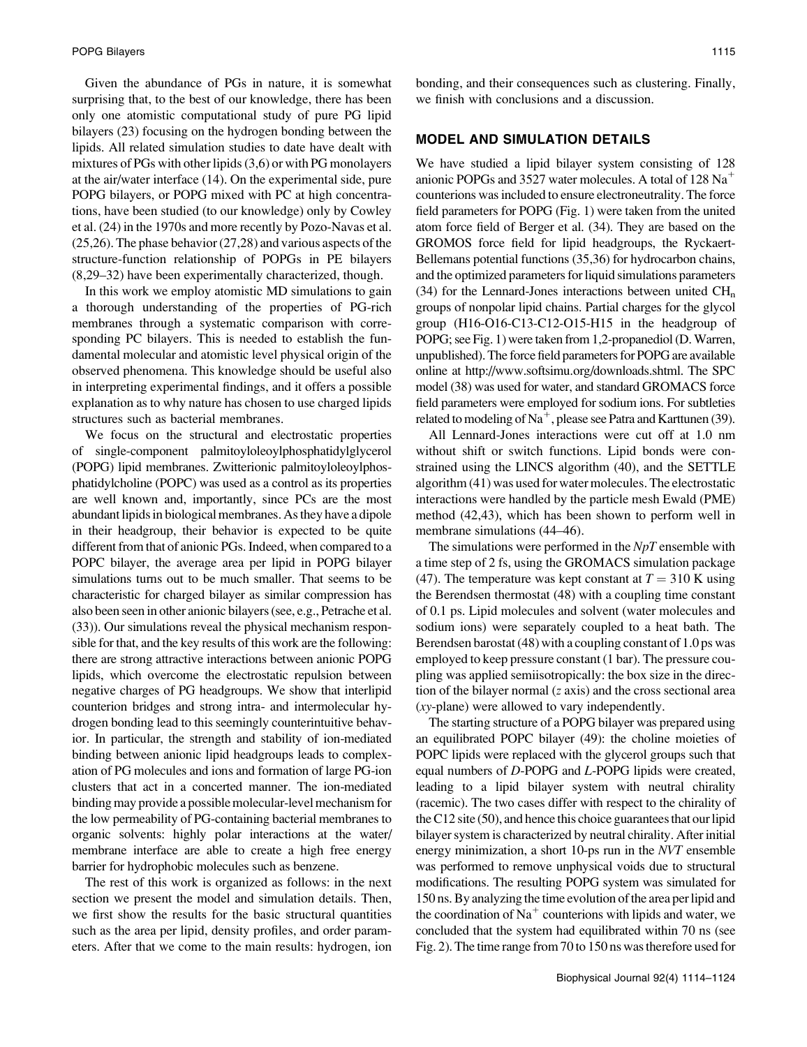Given the abundance of PGs in nature, it is somewhat surprising that, to the best of our knowledge, there has been only one atomistic computational study of pure PG lipid bilayers (23) focusing on the hydrogen bonding between the lipids. All related simulation studies to date have dealt with mixtures of PGs with other lipids (3,6) or with PG monolayers at the air/water interface (14). On the experimental side, pure POPG bilayers, or POPG mixed with PC at high concentrations, have been studied (to our knowledge) only by Cowley et al. (24) in the 1970s and more recently by Pozo-Navas et al. (25,26). The phase behavior (27,28) and various aspects of the structure-function relationship of POPGs in PE bilayers (8,29–32) have been experimentally characterized, though.

In this work we employ atomistic MD simulations to gain a thorough understanding of the properties of PG-rich membranes through a systematic comparison with corresponding PC bilayers. This is needed to establish the fundamental molecular and atomistic level physical origin of the observed phenomena. This knowledge should be useful also in interpreting experimental findings, and it offers a possible explanation as to why nature has chosen to use charged lipids structures such as bacterial membranes.

We focus on the structural and electrostatic properties of single-component palmitoyloleoylphosphatidylglycerol (POPG) lipid membranes. Zwitterionic palmitoyloleoylphosphatidylcholine (POPC) was used as a control as its properties are well known and, importantly, since PCs are the most abundant lipids in biological membranes. As they have a dipole in their headgroup, their behavior is expected to be quite different from that of anionic PGs. Indeed, when compared to a POPC bilayer, the average area per lipid in POPG bilayer simulations turns out to be much smaller. That seems to be characteristic for charged bilayer as similar compression has also been seen in other anionic bilayers (see, e.g., Petrache et al. (33)). Our simulations reveal the physical mechanism responsible for that, and the key results of this work are the following: there are strong attractive interactions between anionic POPG lipids, which overcome the electrostatic repulsion between negative charges of PG headgroups. We show that interlipid counterion bridges and strong intra- and intermolecular hydrogen bonding lead to this seemingly counterintuitive behavior. In particular, the strength and stability of ion-mediated binding between anionic lipid headgroups leads to complexation of PG molecules and ions and formation of large PG-ion clusters that act in a concerted manner. The ion-mediated binding may provide a possible molecular-level mechanism for the low permeability of PG-containing bacterial membranes to organic solvents: highly polar interactions at the water/ membrane interface are able to create a high free energy barrier for hydrophobic molecules such as benzene.

The rest of this work is organized as follows: in the next section we present the model and simulation details. Then, we first show the results for the basic structural quantities such as the area per lipid, density profiles, and order parameters. After that we come to the main results: hydrogen, ion bonding, and their consequences such as clustering. Finally, we finish with conclusions and a discussion.

# MODEL AND SIMULATION DETAILS

We have studied a lipid bilayer system consisting of 128 anionic POPGs and 3527 water molecules. A total of  $128 \text{ Na}^+$ counterions was included to ensure electroneutrality. The force field parameters for POPG (Fig. 1) were taken from the united atom force field of Berger et al. (34). They are based on the GROMOS force field for lipid headgroups, the Ryckaert-Bellemans potential functions (35,36) for hydrocarbon chains, and the optimized parameters for liquid simulations parameters  $(34)$  for the Lennard-Jones interactions between united  $CH_n$ groups of nonpolar lipid chains. Partial charges for the glycol group (H16-O16-C13-C12-O15-H15 in the headgroup of POPG; see Fig. 1) were taken from 1,2-propanediol (D. Warren, unpublished). The force field parameters for POPG are available online at http://www.softsimu.org/downloads.shtml. The SPC model (38) was used for water, and standard GROMACS force field parameters were employed for sodium ions. For subtleties related to modeling of  $Na^+$ , please see Patra and Karttunen (39).

All Lennard-Jones interactions were cut off at 1.0 nm without shift or switch functions. Lipid bonds were constrained using the LINCS algorithm (40), and the SETTLE algorithm (41) was used for water molecules. The electrostatic interactions were handled by the particle mesh Ewald (PME) method (42,43), which has been shown to perform well in membrane simulations (44–46).

The simulations were performed in the  $NpT$  ensemble with a time step of 2 fs, using the GROMACS simulation package (47). The temperature was kept constant at  $T = 310$  K using the Berendsen thermostat (48) with a coupling time constant of 0.1 ps. Lipid molecules and solvent (water molecules and sodium ions) were separately coupled to a heat bath. The Berendsen barostat (48) with a coupling constant of 1.0 ps was employed to keep pressure constant (1 bar). The pressure coupling was applied semiisotropically: the box size in the direction of the bilayer normal  $(z \text{ axis})$  and the cross sectional area (xy-plane) were allowed to vary independently.

The starting structure of a POPG bilayer was prepared using an equilibrated POPC bilayer (49): the choline moieties of POPC lipids were replaced with the glycerol groups such that equal numbers of D-POPG and L-POPG lipids were created, leading to a lipid bilayer system with neutral chirality (racemic). The two cases differ with respect to the chirality of the C12 site (50), and hence this choice guarantees that our lipid bilayer system is characterized by neutral chirality. After initial energy minimization, a short 10-ps run in the NVT ensemble was performed to remove unphysical voids due to structural modifications. The resulting POPG system was simulated for 150 ns. By analyzing the time evolution of the area per lipid and the coordination of  $Na<sup>+</sup>$  counterions with lipids and water, we concluded that the system had equilibrated within 70 ns (see Fig. 2). The time range from 70 to 150 ns was therefore used for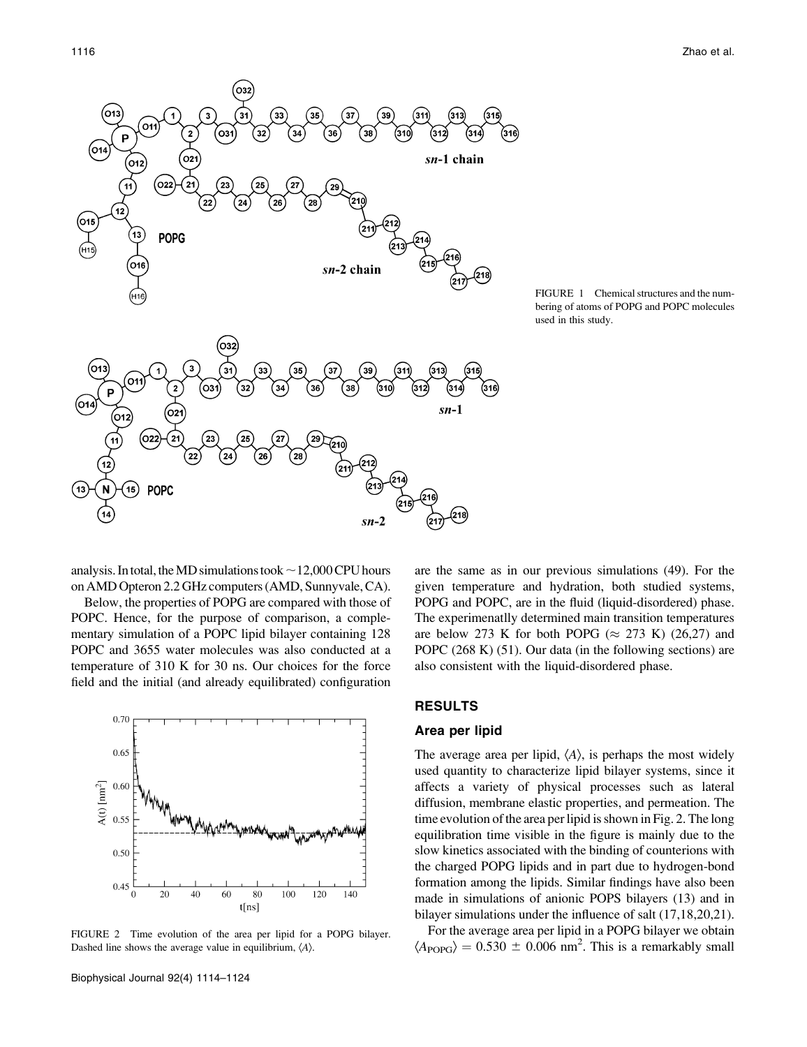

FIGURE 1 Chemical structures and the numbering of atoms of POPG and POPC molecules used in this study.

analysis. In total, the MD simulations took  $\sim12,000$  CPU hours on AMD Opteron 2.2 GHz computers (AMD, Sunnyvale, CA).

Below, the properties of POPG are compared with those of POPC. Hence, for the purpose of comparison, a complementary simulation of a POPC lipid bilayer containing 128 POPC and 3655 water molecules was also conducted at a temperature of 310 K for 30 ns. Our choices for the force field and the initial (and already equilibrated) configuration



FIGURE 2 Time evolution of the area per lipid for a POPG bilayer. Dashed line shows the average value in equilibrium,  $\langle A \rangle$ .

are the same as in our previous simulations (49). For the given temperature and hydration, both studied systems, POPG and POPC, are in the fluid (liquid-disordered) phase. The experimenatlly determined main transition temperatures are below 273 K for both POPG ( $\approx$  273 K) (26,27) and POPC (268 K) (51). Our data (in the following sections) are also consistent with the liquid-disordered phase.

# RESULTS

#### Area per lipid

The average area per lipid,  $\langle A \rangle$ , is perhaps the most widely used quantity to characterize lipid bilayer systems, since it affects a variety of physical processes such as lateral diffusion, membrane elastic properties, and permeation. The time evolution of the area per lipid is shown in Fig. 2. The long equilibration time visible in the figure is mainly due to the slow kinetics associated with the binding of counterions with the charged POPG lipids and in part due to hydrogen-bond formation among the lipids. Similar findings have also been made in simulations of anionic POPS bilayers (13) and in bilayer simulations under the influence of salt (17,18,20,21).

For the average area per lipid in a POPG bilayer we obtain  $\langle A_{\text{POPG}} \rangle = 0.530 \pm 0.006 \text{ nm}^2$ . This is a remarkably small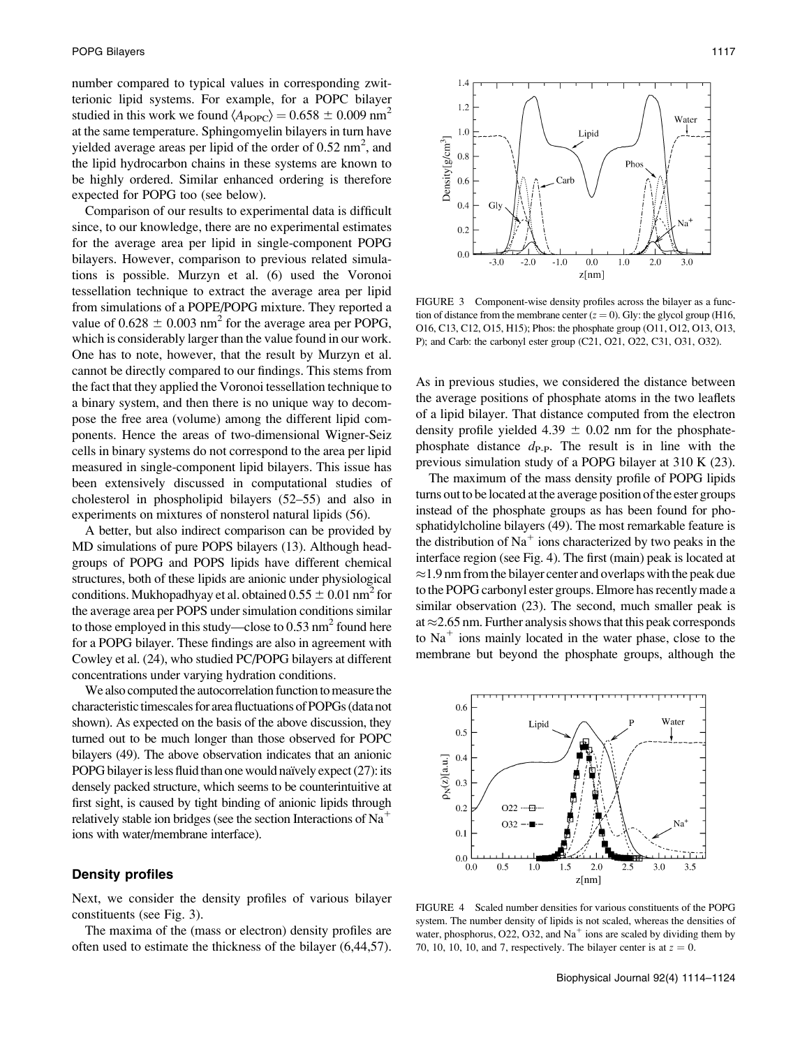number compared to typical values in corresponding zwitterionic lipid systems. For example, for a POPC bilayer studied in this work we found  $\langle A_{\text{POPC}} \rangle = 0.658 \pm 0.009 \text{ nm}^2$ at the same temperature. Sphingomyelin bilayers in turn have yielded average areas per lipid of the order of  $0.52 \text{ nm}^2$ , and the lipid hydrocarbon chains in these systems are known to be highly ordered. Similar enhanced ordering is therefore expected for POPG too (see below).

Comparison of our results to experimental data is difficult since, to our knowledge, there are no experimental estimates for the average area per lipid in single-component POPG bilayers. However, comparison to previous related simulations is possible. Murzyn et al. (6) used the Voronoi tessellation technique to extract the average area per lipid from simulations of a POPE/POPG mixture. They reported a value of  $0.628 \pm 0.003$  nm<sup>2</sup> for the average area per POPG, which is considerably larger than the value found in our work. One has to note, however, that the result by Murzyn et al. cannot be directly compared to our findings. This stems from the fact that they applied the Voronoi tessellation technique to a binary system, and then there is no unique way to decompose the free area (volume) among the different lipid components. Hence the areas of two-dimensional Wigner-Seiz cells in binary systems do not correspond to the area per lipid measured in single-component lipid bilayers. This issue has been extensively discussed in computational studies of cholesterol in phospholipid bilayers (52–55) and also in experiments on mixtures of nonsterol natural lipids (56).

A better, but also indirect comparison can be provided by MD simulations of pure POPS bilayers (13). Although headgroups of POPG and POPS lipids have different chemical structures, both of these lipids are anionic under physiological conditions. Mukhopadhyay et al. obtained  $0.55 \pm 0.01$  nm<sup>2</sup> for the average area per POPS under simulation conditions similar to those employed in this study—close to  $0.53 \text{ nm}^2$  found here for a POPG bilayer. These findings are also in agreement with Cowley et al. (24), who studied PC/POPG bilayers at different concentrations under varying hydration conditions.

We also computed the autocorrelation function to measure the characteristic timescales for area fluctuations of POPGs (data not shown). As expected on the basis of the above discussion, they turned out to be much longer than those observed for POPC bilayers (49). The above observation indicates that an anionic POPG bilayer is less fluid than one would naïvely expect (27): its densely packed structure, which seems to be counterintuitive at first sight, is caused by tight binding of anionic lipids through relatively stable ion bridges (see the section Interactions of  $Na<sup>+</sup>$ ions with water/membrane interface).

#### Density profiles

Next, we consider the density profiles of various bilayer constituents (see Fig. 3).

The maxima of the (mass or electron) density profiles are often used to estimate the thickness of the bilayer (6,44,57).



FIGURE 3 Component-wise density profiles across the bilayer as a function of distance from the membrane center  $(z = 0)$ . Gly: the glycol group (H16, O16, C13, C12, O15, H15); Phos: the phosphate group (O11, O12, O13, O13, P); and Carb: the carbonyl ester group (C21, O21, O22, C31, O31, O32).

As in previous studies, we considered the distance between the average positions of phosphate atoms in the two leaflets of a lipid bilayer. That distance computed from the electron density profile yielded 4.39  $\pm$  0.02 nm for the phosphatephosphate distance  $d_{\text{P-P}}$ . The result is in line with the previous simulation study of a POPG bilayer at 310 K (23).

The maximum of the mass density profile of POPG lipids turns out to be located at the average position of the ester groups instead of the phosphate groups as has been found for phosphatidylcholine bilayers (49). The most remarkable feature is the distribution of  $Na<sup>+</sup>$  ions characterized by two peaks in the interface region (see Fig. 4). The first (main) peak is located at  $\approx$  1.9 nm from the bilayer center and overlaps with the peak due to the POPG carbonyl ester groups. Elmore has recently made a similar observation (23). The second, much smaller peak is at  $\approx$  2.65 nm. Further analysis shows that this peak corresponds to  $Na<sup>+</sup>$  ions mainly located in the water phase, close to the membrane but beyond the phosphate groups, although the



FIGURE 4 Scaled number densities for various constituents of the POPG system. The number density of lipids is not scaled, whereas the densities of water, phosphorus, O22, O32, and  $Na<sup>+</sup>$  ions are scaled by dividing them by 70, 10, 10, 10, and 7, respectively. The bilayer center is at  $z = 0$ .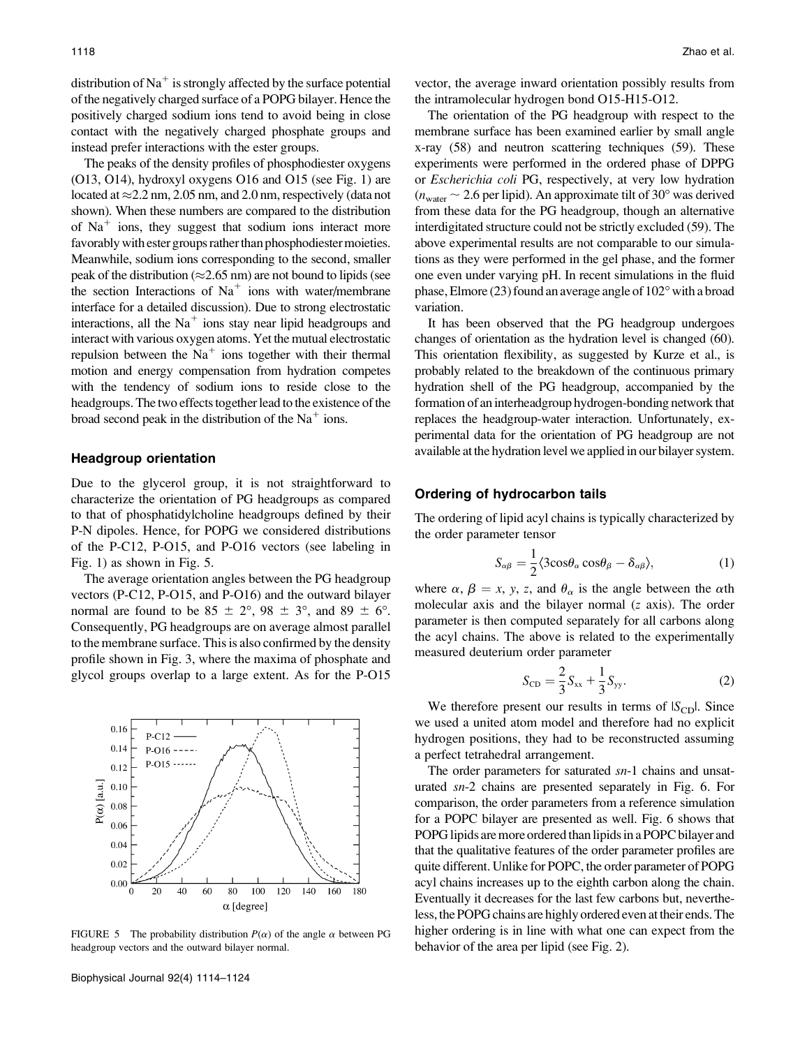distribution of  $Na<sup>+</sup>$  is strongly affected by the surface potential of the negatively charged surface of a POPG bilayer. Hence the positively charged sodium ions tend to avoid being in close contact with the negatively charged phosphate groups and instead prefer interactions with the ester groups.

The peaks of the density profiles of phosphodiester oxygens (O13, O14), hydroxyl oxygens O16 and O15 (see Fig. 1) are located at  $\approx$  2.2 nm, 2.05 nm, and 2.0 nm, respectively (data not shown). When these numbers are compared to the distribution of  $Na<sup>+</sup>$  ions, they suggest that sodium ions interact more favorably with ester groups rather than phosphodiester moieties. Meanwhile, sodium ions corresponding to the second, smaller peak of the distribution ( $\approx$  2.65 nm) are not bound to lipids (see the section Interactions of  $Na<sup>+</sup>$  ions with water/membrane interface for a detailed discussion). Due to strong electrostatic interactions, all the  $Na<sup>+</sup>$  ions stay near lipid headgroups and interact with various oxygen atoms. Yet the mutual electrostatic repulsion between the  $Na<sup>+</sup>$  ions together with their thermal motion and energy compensation from hydration competes with the tendency of sodium ions to reside close to the headgroups. The two effects together lead to the existence of the broad second peak in the distribution of the  $Na<sup>+</sup>$  ions.

#### Headgroup orientation

0.16  $0.14$ 

 $0.12$ 

 $P(\alpha)$ [a.u.]  $0.10$  $0.08$  $0.06$ 0.04  $0.02$  $0.00$ 

Due to the glycerol group, it is not straightforward to characterize the orientation of PG headgroups as compared to that of phosphatidylcholine headgroups defined by their P-N dipoles. Hence, for POPG we considered distributions of the P-C12, P-O15, and P-O16 vectors (see labeling in Fig. 1) as shown in Fig. 5.

The average orientation angles between the PG headgroup vectors (P-C12, P-O15, and P-O16) and the outward bilayer normal are found to be  $85 \pm 2^{\circ}$ ,  $98 \pm 3^{\circ}$ , and  $89 \pm 6^{\circ}$ . Consequently, PG headgroups are on average almost parallel to the membrane surface. This is also confirmed by the density profile shown in Fig. 3, where the maxima of phosphate and glycol groups overlap to a large extent. As for the P-O15



 $\alpha$  [degree]

Biophysical Journal 92(4) 1114–1124

 $20$ 40 60 80 100 120 140 160 180

 $\Omega$ 

 $P-O16$  ---- $P-O15$  .....

vector, the average inward orientation possibly results from the intramolecular hydrogen bond O15-H15-O12.

The orientation of the PG headgroup with respect to the membrane surface has been examined earlier by small angle x-ray (58) and neutron scattering techniques (59). These experiments were performed in the ordered phase of DPPG or Escherichia coli PG, respectively, at very low hydration  $(n<sub>water</sub> \sim 2.6$  per lipid). An approximate tilt of 30 $^{\circ}$  was derived from these data for the PG headgroup, though an alternative interdigitated structure could not be strictly excluded (59). The above experimental results are not comparable to our simulations as they were performed in the gel phase, and the former one even under varying pH. In recent simulations in the fluid phase, Elmore  $(23)$  found an average angle of  $102^{\circ}$  with a broad variation.

It has been observed that the PG headgroup undergoes changes of orientation as the hydration level is changed (60). This orientation flexibility, as suggested by Kurze et al., is probably related to the breakdown of the continuous primary hydration shell of the PG headgroup, accompanied by the formation of an interheadgroup hydrogen-bonding network that replaces the headgroup-water interaction. Unfortunately, experimental data for the orientation of PG headgroup are not available at the hydration level we applied in our bilayer system.

#### Ordering of hydrocarbon tails

The ordering of lipid acyl chains is typically characterized by the order parameter tensor

$$
S_{\alpha\beta} = \frac{1}{2} \langle 3\cos\theta_{\alpha}\cos\theta_{\beta} - \delta_{\alpha\beta} \rangle, \tag{1}
$$

where  $\alpha$ ,  $\beta = x$ , y, z, and  $\theta_{\alpha}$  is the angle between the  $\alpha$ th molecular axis and the bilayer normal (z axis). The order parameter is then computed separately for all carbons along the acyl chains. The above is related to the experimentally measured deuterium order parameter

$$
S_{\rm CD} = \frac{2}{3} S_{\rm xx} + \frac{1}{3} S_{\rm yy}.
$$
 (2)

We therefore present our results in terms of  $|S_{CD}|$ . Since we used a united atom model and therefore had no explicit hydrogen positions, they had to be reconstructed assuming a perfect tetrahedral arrangement.

The order parameters for saturated  $sn-1$  chains and unsaturated sn-2 chains are presented separately in Fig. 6. For comparison, the order parameters from a reference simulation for a POPC bilayer are presented as well. Fig. 6 shows that POPG lipids are more ordered than lipids in a POPC bilayer and that the qualitative features of the order parameter profiles are quite different. Unlike for POPC, the order parameter of POPG acyl chains increases up to the eighth carbon along the chain. Eventually it decreases for the last few carbons but, nevertheless, the POPG chains are highly ordered even at their ends. The higher ordering is in line with what one can expect from the behavior of the area per lipid (see Fig. 2).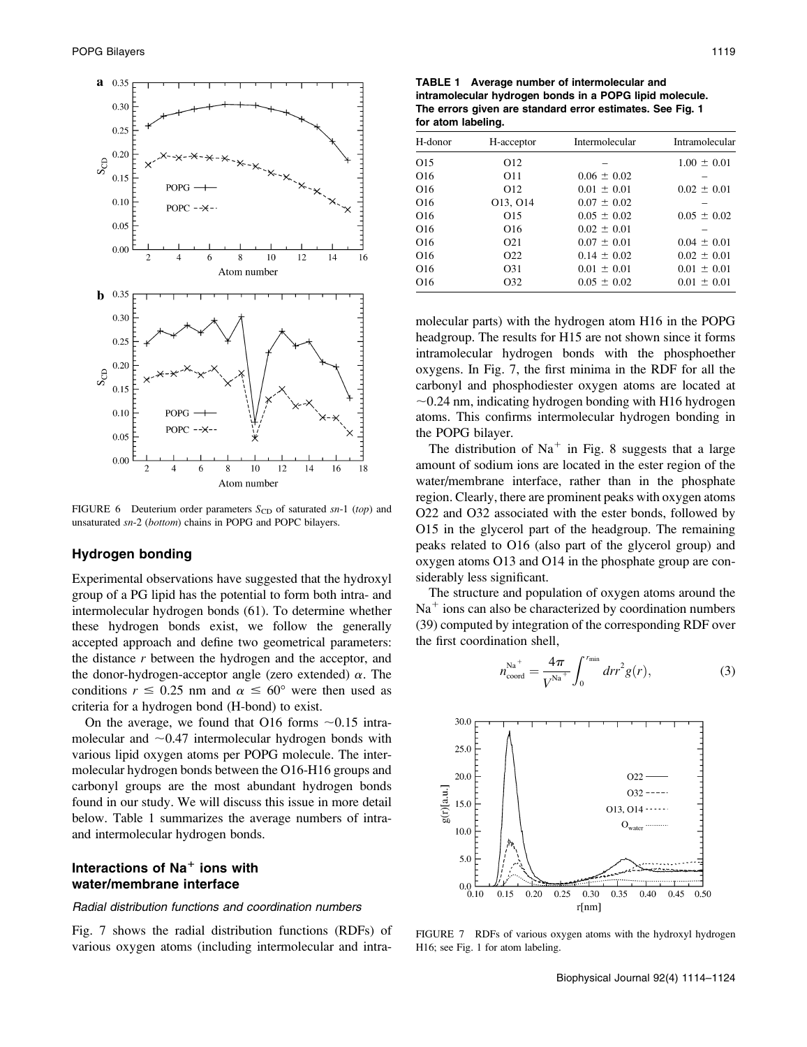

FIGURE 6 Deuterium order parameters  $S_{CD}$  of saturated sn-1 (top) and unsaturated sn-2 (bottom) chains in POPG and POPC bilayers.

#### Hydrogen bonding

Experimental observations have suggested that the hydroxyl group of a PG lipid has the potential to form both intra- and intermolecular hydrogen bonds (61). To determine whether these hydrogen bonds exist, we follow the generally accepted approach and define two geometrical parameters: the distance  $r$  between the hydrogen and the acceptor, and the donor-hydrogen-acceptor angle (zero extended)  $\alpha$ . The conditions  $r \le 0.25$  nm and  $\alpha \le 60^{\circ}$  were then used as criteria for a hydrogen bond (H-bond) to exist.

On the average, we found that O16 forms  $\sim 0.15$  intramolecular and  $\sim 0.47$  intermolecular hydrogen bonds with various lipid oxygen atoms per POPG molecule. The intermolecular hydrogen bonds between the O16-H16 groups and carbonyl groups are the most abundant hydrogen bonds found in our study. We will discuss this issue in more detail below. Table 1 summarizes the average numbers of intraand intermolecular hydrogen bonds.

# Interactions of Na $^+$  ions with water/membrane interface

### Radial distribution functions and coordination numbers

Fig. 7 shows the radial distribution functions (RDFs) of various oxygen atoms (including intermolecular and intra-

TABLE 1 Average number of intermolecular and intramolecular hydrogen bonds in a POPG lipid molecule. The errors given are standard error estimates. See Fig. 1 for atom labeling.

| H-donor         | H-acceptor      | Intermolecular  | Intramolecular  |
|-----------------|-----------------|-----------------|-----------------|
| O <sub>15</sub> | O <sub>12</sub> |                 | $1.00 \pm 0.01$ |
| O16             | O <sub>11</sub> | $0.06 \pm 0.02$ |                 |
| O16             | O <sub>12</sub> | $0.01 \pm 0.01$ | $0.02 \pm 0.01$ |
| O16             | O13, O14        | $0.07 \pm 0.02$ |                 |
| O16             | O <sub>15</sub> | $0.05 \pm 0.02$ | $0.05 \pm 0.02$ |
| O16             | O <sub>16</sub> | $0.02 \pm 0.01$ |                 |
| O16             | O <sub>21</sub> | $0.07 \pm 0.01$ | $0.04 \pm 0.01$ |
| O16             | O <sub>22</sub> | $0.14 \pm 0.02$ | $0.02 \pm 0.01$ |
| O16             | O31             | $0.01 \pm 0.01$ | $0.01 \pm 0.01$ |
| O16             | O32             | $0.05 \pm 0.02$ | $0.01 \pm 0.01$ |

molecular parts) with the hydrogen atom H16 in the POPG headgroup. The results for H15 are not shown since it forms intramolecular hydrogen bonds with the phosphoether oxygens. In Fig. 7, the first minima in the RDF for all the carbonyl and phosphodiester oxygen atoms are located at  $\sim$ 0.24 nm, indicating hydrogen bonding with H16 hydrogen atoms. This confirms intermolecular hydrogen bonding in the POPG bilayer.

The distribution of  $Na<sup>+</sup>$  in Fig. 8 suggests that a large amount of sodium ions are located in the ester region of the water/membrane interface, rather than in the phosphate region. Clearly, there are prominent peaks with oxygen atoms O22 and O32 associated with the ester bonds, followed by O15 in the glycerol part of the headgroup. The remaining peaks related to O16 (also part of the glycerol group) and oxygen atoms O13 and O14 in the phosphate group are considerably less significant.

The structure and population of oxygen atoms around the  $Na<sup>+</sup>$  ions can also be characterized by coordination numbers (39) computed by integration of the corresponding RDF over the first coordination shell,

$$
n_{\text{coord}}^{\text{Na}^+} = \frac{4\pi}{V^{\text{Na}^+}} \int_0^{r_{\text{min}}} dr r^2 g(r), \tag{3}
$$



FIGURE 7 RDFs of various oxygen atoms with the hydroxyl hydrogen H16; see Fig. 1 for atom labeling.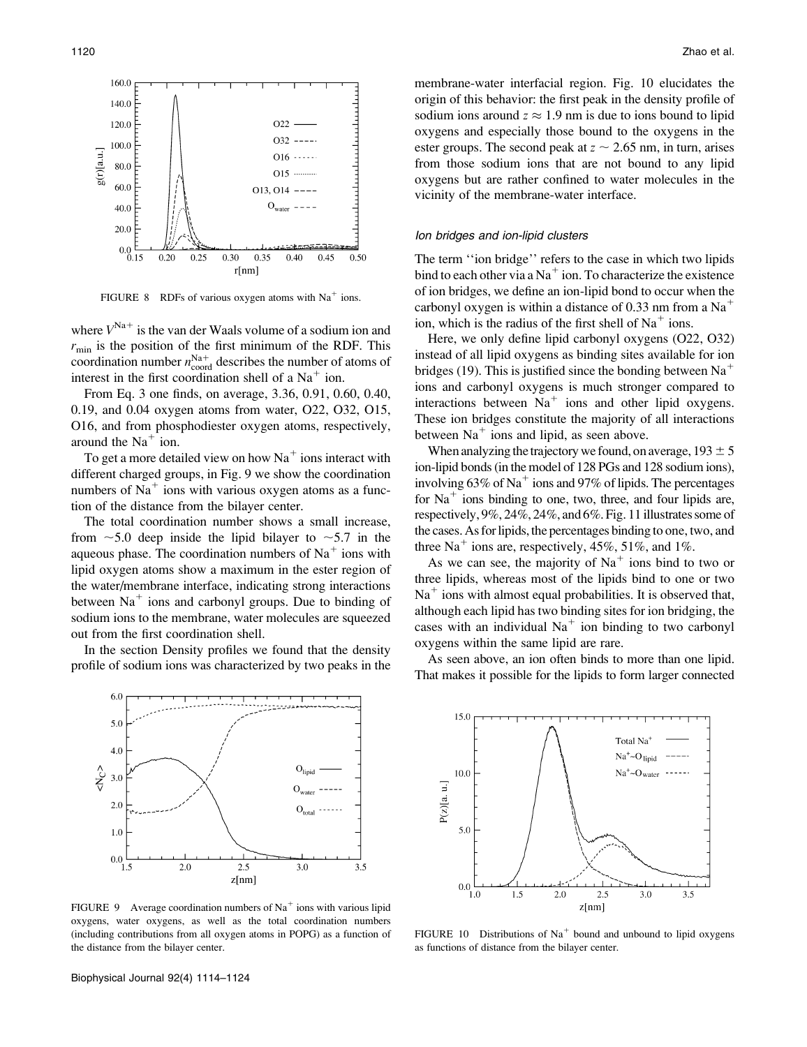

FIGURE 8 RDFs of various oxygen atoms with  $Na<sup>+</sup>$  ions.

where  $V^{Na+}$  is the van der Waals volume of a sodium ion and  $r_{\text{min}}$  is the position of the first minimum of the RDF. This coordination number  $n_{\text{coord}}^{\text{Na+}}$  describes the number of atoms of interest in the first coordination shell of a  $Na<sup>+</sup>$  ion.

From Eq. 3 one finds, on average, 3.36, 0.91, 0.60, 0.40, 0.19, and 0.04 oxygen atoms from water, O22, O32, O15, O16, and from phosphodiester oxygen atoms, respectively, around the  $Na<sup>+</sup>$  ion.

To get a more detailed view on how  $Na<sup>+</sup>$  ions interact with different charged groups, in Fig. 9 we show the coordination numbers of  $Na<sup>+</sup>$  ions with various oxygen atoms as a function of the distance from the bilayer center.

The total coordination number shows a small increase, from  $\sim$  5.0 deep inside the lipid bilayer to  $\sim$  5.7 in the aqueous phase. The coordination numbers of  $Na<sup>+</sup>$  ions with lipid oxygen atoms show a maximum in the ester region of the water/membrane interface, indicating strong interactions between  $Na<sup>+</sup>$  ions and carbonyl groups. Due to binding of sodium ions to the membrane, water molecules are squeezed out from the first coordination shell.

In the section Density profiles we found that the density profile of sodium ions was characterized by two peaks in the



FIGURE 9 Average coordination numbers of Na<sup>+</sup> ions with various lipid oxygens, water oxygens, as well as the total coordination numbers (including contributions from all oxygen atoms in POPG) as a function of the distance from the bilayer center.

Biophysical Journal 92(4) 1114–1124

membrane-water interfacial region. Fig. 10 elucidates the origin of this behavior: the first peak in the density profile of sodium ions around  $z \approx 1.9$  nm is due to ions bound to lipid oxygens and especially those bound to the oxygens in the ester groups. The second peak at  $z \sim 2.65$  nm, in turn, arises from those sodium ions that are not bound to any lipid oxygens but are rather confined to water molecules in the vicinity of the membrane-water interface.

#### Ion bridges and ion-lipid clusters

The term ''ion bridge'' refers to the case in which two lipids bind to each other via a  $Na<sup>+</sup>$  ion. To characterize the existence of ion bridges, we define an ion-lipid bond to occur when the carbonyl oxygen is within a distance of 0.33 nm from a  $Na<sup>+</sup>$ ion, which is the radius of the first shell of  $Na<sup>+</sup>$  ions.

Here, we only define lipid carbonyl oxygens (O22, O32) instead of all lipid oxygens as binding sites available for ion bridges (19). This is justified since the bonding between  $Na<sup>+</sup>$ ions and carbonyl oxygens is much stronger compared to interactions between  $Na<sup>+</sup>$  ions and other lipid oxygens. These ion bridges constitute the majority of all interactions between  $Na<sup>+</sup>$  ions and lipid, as seen above.

When analyzing the trajectory we found, on average,  $193 \pm 5$ ion-lipid bonds (in the model of 128 PGs and 128 sodium ions), involving 63% of Na<sup>+</sup> ions and 97% of lipids. The percentages for  $Na<sup>+</sup>$  ions binding to one, two, three, and four lipids are, respectively, 9%, 24%, 24%, and 6%. Fig. 11 illustrates some of the cases. As for lipids, the percentages binding to one, two, and three Na<sup>+</sup> ions are, respectively,  $45\%, 51\%,$  and  $1\%$ .

As we can see, the majority of  $Na<sup>+</sup>$  ions bind to two or three lipids, whereas most of the lipids bind to one or two  $Na<sup>+</sup>$  ions with almost equal probabilities. It is observed that, although each lipid has two binding sites for ion bridging, the cases with an individual  $Na<sup>+</sup>$  ion binding to two carbonyl oxygens within the same lipid are rare.

As seen above, an ion often binds to more than one lipid. That makes it possible for the lipids to form larger connected



FIGURE 10 Distributions of  $Na<sup>+</sup>$  bound and unbound to lipid oxygens as functions of distance from the bilayer center.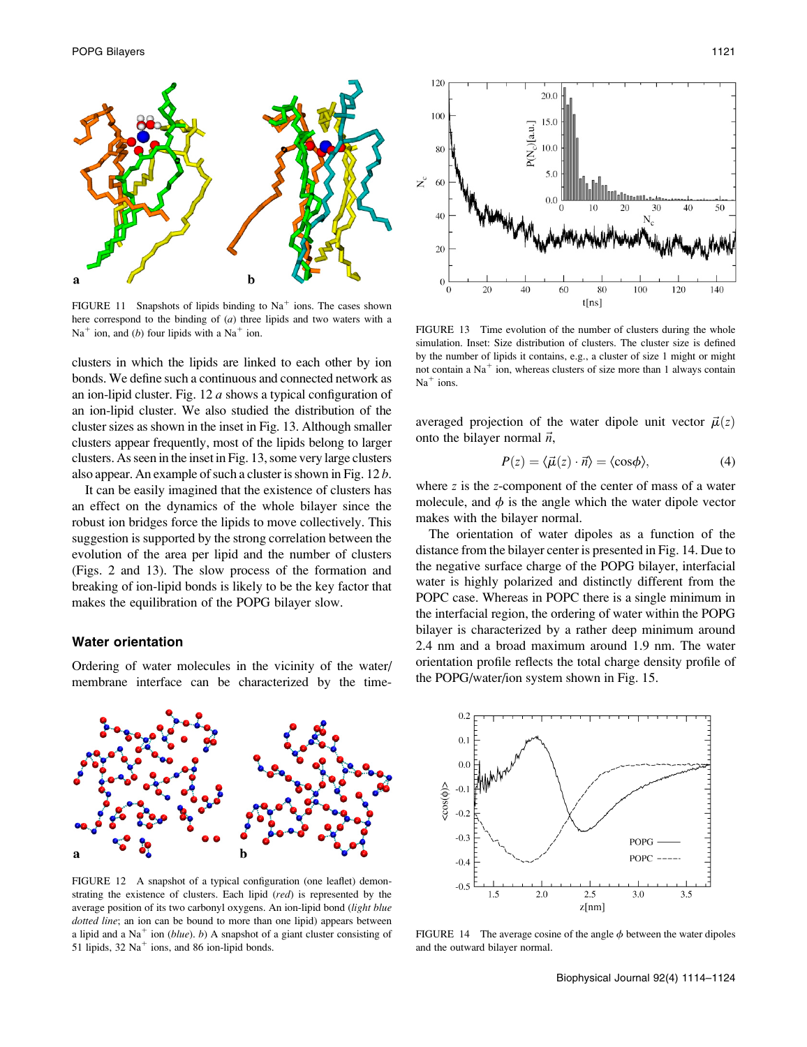

FIGURE 11 Snapshots of lipids binding to  $Na<sup>+</sup>$  ions. The cases shown here correspond to the binding of  $(a)$  three lipids and two waters with a  $Na<sup>+</sup>$  ion, and (b) four lipids with a Na<sup>+</sup> ion.

clusters in which the lipids are linked to each other by ion bonds. We define such a continuous and connected network as an ion-lipid cluster. Fig.  $12a$  shows a typical configuration of an ion-lipid cluster. We also studied the distribution of the cluster sizes as shown in the inset in Fig. 13. Although smaller clusters appear frequently, most of the lipids belong to larger clusters. As seen in the inset in Fig. 13, some very large clusters also appear. An example of such a cluster is shown in Fig. 12 b.

It can be easily imagined that the existence of clusters has an effect on the dynamics of the whole bilayer since the robust ion bridges force the lipids to move collectively. This suggestion is supported by the strong correlation between the evolution of the area per lipid and the number of clusters (Figs. 2 and 13). The slow process of the formation and breaking of ion-lipid bonds is likely to be the key factor that makes the equilibration of the POPG bilayer slow.

#### Water orientation

Ordering of water molecules in the vicinity of the water/ membrane interface can be characterized by the time-



FIGURE 12 A snapshot of a typical configuration (one leaflet) demonstrating the existence of clusters. Each lipid (red) is represented by the average position of its two carbonyl oxygens. An ion-lipid bond (light blue dotted line; an ion can be bound to more than one lipid) appears between a lipid and a Na<sup>+</sup> ion (blue). b) A snapshot of a giant cluster consisting of 51 lipids, 32  $Na<sup>+</sup>$  ions, and 86 ion-lipid bonds.



FIGURE 13 Time evolution of the number of clusters during the whole simulation. Inset: Size distribution of clusters. The cluster size is defined by the number of lipids it contains, e.g., a cluster of size 1 might or might not contain a  $Na<sup>+</sup>$  ion, whereas clusters of size more than 1 always contain  $Na<sup>+</sup>$  ions.

averaged projection of the water dipole unit vector  $\vec{\mu}(z)$ onto the bilayer normal  $\vec{n}$ ,

$$
P(z) = \langle \vec{\mu}(z) \cdot \vec{n} \rangle = \langle \cos \phi \rangle, \tag{4}
$$

where z is the z-component of the center of mass of a water molecule, and  $\phi$  is the angle which the water dipole vector makes with the bilayer normal.

The orientation of water dipoles as a function of the distance from the bilayer center is presented in Fig. 14. Due to the negative surface charge of the POPG bilayer, interfacial water is highly polarized and distinctly different from the POPC case. Whereas in POPC there is a single minimum in the interfacial region, the ordering of water within the POPG bilayer is characterized by a rather deep minimum around 2.4 nm and a broad maximum around 1.9 nm. The water orientation profile reflects the total charge density profile of the POPG/water/ion system shown in Fig. 15.



FIGURE 14 The average cosine of the angle  $\phi$  between the water dipoles and the outward bilayer normal.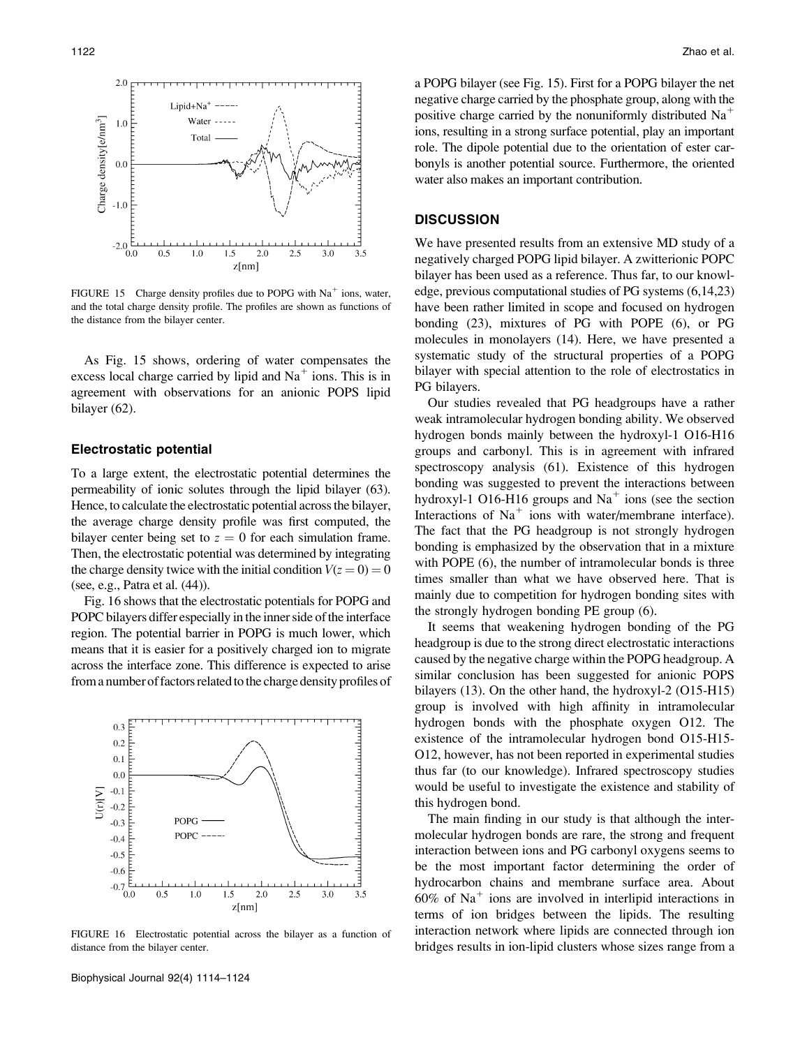

FIGURE 15 Charge density profiles due to POPG with  $Na<sup>+</sup>$  ions, water, and the total charge density profile. The profiles are shown as functions of the distance from the bilayer center.

As Fig. 15 shows, ordering of water compensates the excess local charge carried by lipid and  $Na<sup>+</sup>$  ions. This is in agreement with observations for an anionic POPS lipid bilayer (62).

#### Electrostatic potential

To a large extent, the electrostatic potential determines the permeability of ionic solutes through the lipid bilayer (63). Hence, to calculate the electrostatic potential across the bilayer, the average charge density profile was first computed, the bilayer center being set to  $z = 0$  for each simulation frame. Then, the electrostatic potential was determined by integrating the charge density twice with the initial condition  $V(z = 0) = 0$ (see, e.g., Patra et al. (44)).

Fig. 16 shows that the electrostatic potentials for POPG and POPC bilayers differ especially in the inner side of the interface region. The potential barrier in POPG is much lower, which means that it is easier for a positively charged ion to migrate across the interface zone. This difference is expected to arise from a number of factors related to the charge density profiles of



FIGURE 16 Electrostatic potential across the bilayer as a function of distance from the bilayer center.

a POPG bilayer (see Fig. 15). First for a POPG bilayer the net negative charge carried by the phosphate group, along with the positive charge carried by the nonuniformly distributed  $Na<sup>+</sup>$ ions, resulting in a strong surface potential, play an important role. The dipole potential due to the orientation of ester carbonyls is another potential source. Furthermore, the oriented water also makes an important contribution.

#### **DISCUSSION**

We have presented results from an extensive MD study of a negatively charged POPG lipid bilayer. A zwitterionic POPC bilayer has been used as a reference. Thus far, to our knowledge, previous computational studies of PG systems (6,14,23) have been rather limited in scope and focused on hydrogen bonding (23), mixtures of PG with POPE (6), or PG molecules in monolayers (14). Here, we have presented a systematic study of the structural properties of a POPG bilayer with special attention to the role of electrostatics in PG bilayers.

Our studies revealed that PG headgroups have a rather weak intramolecular hydrogen bonding ability. We observed hydrogen bonds mainly between the hydroxyl-1 O16-H16 groups and carbonyl. This is in agreement with infrared spectroscopy analysis (61). Existence of this hydrogen bonding was suggested to prevent the interactions between hydroxyl-1 O16-H16 groups and  $Na<sup>+</sup>$  ions (see the section Interactions of  $Na<sup>+</sup>$  ions with water/membrane interface). The fact that the PG headgroup is not strongly hydrogen bonding is emphasized by the observation that in a mixture with POPE  $(6)$ , the number of intramolecular bonds is three times smaller than what we have observed here. That is mainly due to competition for hydrogen bonding sites with the strongly hydrogen bonding PE group (6).

It seems that weakening hydrogen bonding of the PG headgroup is due to the strong direct electrostatic interactions caused by the negative charge within the POPG headgroup. A similar conclusion has been suggested for anionic POPS bilayers (13). On the other hand, the hydroxyl-2 (O15-H15) group is involved with high affinity in intramolecular hydrogen bonds with the phosphate oxygen O12. The existence of the intramolecular hydrogen bond O15-H15- O12, however, has not been reported in experimental studies thus far (to our knowledge). Infrared spectroscopy studies would be useful to investigate the existence and stability of this hydrogen bond.

The main finding in our study is that although the intermolecular hydrogen bonds are rare, the strong and frequent interaction between ions and PG carbonyl oxygens seems to be the most important factor determining the order of hydrocarbon chains and membrane surface area. About  $60\%$  of Na<sup>+</sup> ions are involved in interlipid interactions in terms of ion bridges between the lipids. The resulting interaction network where lipids are connected through ion bridges results in ion-lipid clusters whose sizes range from a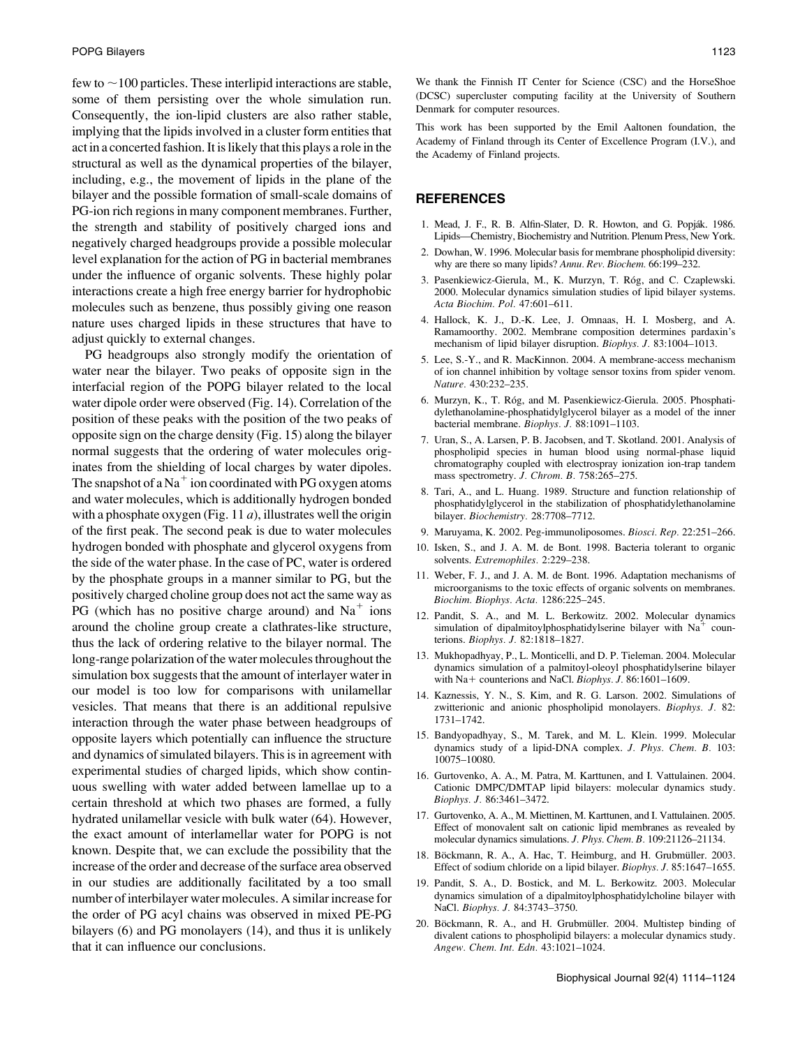few to  $\sim$ 100 particles. These interlipid interactions are stable, some of them persisting over the whole simulation run. Consequently, the ion-lipid clusters are also rather stable, implying that the lipids involved in a cluster form entities that act in a concerted fashion. It is likely that this plays a role in the structural as well as the dynamical properties of the bilayer, including, e.g., the movement of lipids in the plane of the bilayer and the possible formation of small-scale domains of PG-ion rich regions in many component membranes. Further, the strength and stability of positively charged ions and negatively charged headgroups provide a possible molecular level explanation for the action of PG in bacterial membranes under the influence of organic solvents. These highly polar interactions create a high free energy barrier for hydrophobic molecules such as benzene, thus possibly giving one reason nature uses charged lipids in these structures that have to adjust quickly to external changes.

PG headgroups also strongly modify the orientation of water near the bilayer. Two peaks of opposite sign in the interfacial region of the POPG bilayer related to the local water dipole order were observed (Fig. 14). Correlation of the position of these peaks with the position of the two peaks of opposite sign on the charge density (Fig. 15) along the bilayer normal suggests that the ordering of water molecules originates from the shielding of local charges by water dipoles. The snapshot of a Na<sup> $+$ </sup> ion coordinated with PG oxygen atoms and water molecules, which is additionally hydrogen bonded with a phosphate oxygen (Fig. 11 $a$ ), illustrates well the origin of the first peak. The second peak is due to water molecules hydrogen bonded with phosphate and glycerol oxygens from the side of the water phase. In the case of PC, water is ordered by the phosphate groups in a manner similar to PG, but the positively charged choline group does not act the same way as PG (which has no positive charge around) and  $Na<sup>+</sup>$  ions around the choline group create a clathrates-like structure, thus the lack of ordering relative to the bilayer normal. The long-range polarization of the water molecules throughout the simulation box suggests that the amount of interlayer water in our model is too low for comparisons with unilamellar vesicles. That means that there is an additional repulsive interaction through the water phase between headgroups of opposite layers which potentially can influence the structure and dynamics of simulated bilayers. This is in agreement with experimental studies of charged lipids, which show continuous swelling with water added between lamellae up to a certain threshold at which two phases are formed, a fully hydrated unilamellar vesicle with bulk water (64). However, the exact amount of interlamellar water for POPG is not known. Despite that, we can exclude the possibility that the increase of the order and decrease of the surface area observed in our studies are additionally facilitated by a too small number of interbilayer water molecules. A similar increase for the order of PG acyl chains was observed in mixed PE-PG bilayers (6) and PG monolayers (14), and thus it is unlikely that it can influence our conclusions.

We thank the Finnish IT Center for Science (CSC) and the HorseShoe (DCSC) supercluster computing facility at the University of Southern Denmark for computer resources.

This work has been supported by the Emil Aaltonen foundation, the Academy of Finland through its Center of Excellence Program (I.V.), and the Academy of Finland projects.

#### REFERENCES

- 1. Mead, J. F., R. B. Alfin-Slater, D. R. Howton, and G. Popiák. 1986. Lipids—Chemistry, Biochemistry and Nutrition. Plenum Press, New York.
- 2. Dowhan, W. 1996. Molecular basis for membrane phospholipid diversity: why are there so many lipids? Annu. Rev. Biochem. 66:199–232.
- 3. Pasenkiewicz-Gierula, M., K. Murzyn, T. Róg, and C. Czaplewski. 2000. Molecular dynamics simulation studies of lipid bilayer systems. Acta Biochim. Pol. 47:601–611.
- 4. Hallock, K. J., D.-K. Lee, J. Omnaas, H. I. Mosberg, and A. Ramamoorthy. 2002. Membrane composition determines pardaxin's mechanism of lipid bilayer disruption. Biophys. J. 83:1004–1013.
- 5. Lee, S.-Y., and R. MacKinnon. 2004. A membrane-access mechanism of ion channel inhibition by voltage sensor toxins from spider venom. Nature. 430:232–235.
- 6. Murzyn, K., T. Róg, and M. Pasenkiewicz-Gierula. 2005. Phosphatidylethanolamine-phosphatidylglycerol bilayer as a model of the inner bacterial membrane. Biophys. J. 88:1091–1103.
- 7. Uran, S., A. Larsen, P. B. Jacobsen, and T. Skotland. 2001. Analysis of phospholipid species in human blood using normal-phase liquid chromatography coupled with electrospray ionization ion-trap tandem mass spectrometry. *J. Chrom. B.* 758:265–275.
- 8. Tari, A., and L. Huang. 1989. Structure and function relationship of phosphatidylglycerol in the stabilization of phosphatidylethanolamine bilayer. Biochemistry. 28:7708–7712.
- 9. Maruyama, K. 2002. Peg-immunoliposomes. Biosci. Rep. 22:251–266.
- 10. Isken, S., and J. A. M. de Bont. 1998. Bacteria tolerant to organic solvents. Extremophiles. 2:229–238.
- 11. Weber, F. J., and J. A. M. de Bont. 1996. Adaptation mechanisms of microorganisms to the toxic effects of organic solvents on membranes. Biochim. Biophys. Acta. 1286:225–245.
- 12. Pandit, S. A., and M. L. Berkowitz. 2002. Molecular dynamics simulation of dipalmitoylphosphatidylserine bilayer with  $Na<sup>+</sup>$  counterions. Biophys. J. 82:1818–1827.
- 13. Mukhopadhyay, P., L. Monticelli, and D. P. Tieleman. 2004. Molecular dynamics simulation of a palmitoyl-oleoyl phosphatidylserine bilayer with Na+ counterions and NaCl. Biophys. J. 86:1601-1609.
- 14. Kaznessis, Y. N., S. Kim, and R. G. Larson. 2002. Simulations of zwitterionic and anionic phospholipid monolayers. Biophys. J. 82: 1731–1742.
- 15. Bandyopadhyay, S., M. Tarek, and M. L. Klein. 1999. Molecular dynamics study of a lipid-DNA complex. J. Phys. Chem. B. 103: 10075–10080.
- 16. Gurtovenko, A. A., M. Patra, M. Karttunen, and I. Vattulainen. 2004. Cationic DMPC/DMTAP lipid bilayers: molecular dynamics study. Biophys. J. 86:3461–3472.
- 17. Gurtovenko, A. A., M. Miettinen, M. Karttunen, and I. Vattulainen. 2005. Effect of monovalent salt on cationic lipid membranes as revealed by molecular dynamics simulations. J. Phys. Chem. B. 109:21126–21134.
- 18. Böckmann, R. A., A. Hac, T. Heimburg, and H. Grubmüller. 2003. Effect of sodium chloride on a lipid bilayer. Biophys. J. 85:1647–1655.
- 19. Pandit, S. A., D. Bostick, and M. L. Berkowitz. 2003. Molecular dynamics simulation of a dipalmitoylphosphatidylcholine bilayer with NaCl. Biophys. J. 84:3743–3750.
- 20. Böckmann, R. A., and H. Grubmüller. 2004. Multistep binding of divalent cations to phospholipid bilayers: a molecular dynamics study. Angew. Chem. Int. Edn. 43:1021–1024.